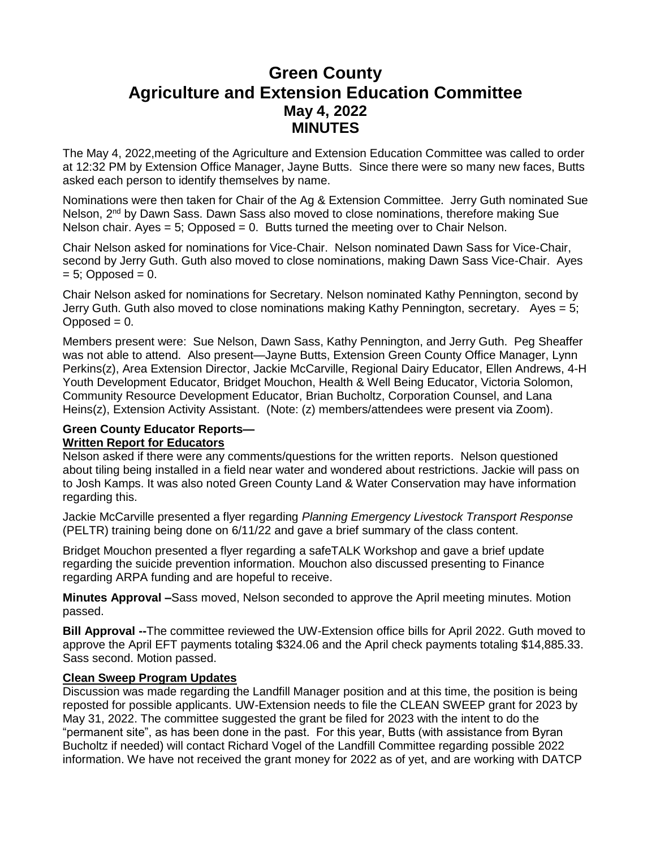# **Green County Agriculture and Extension Education Committee May 4, 2022 MINUTES**

The May 4, 2022,meeting of the Agriculture and Extension Education Committee was called to order at 12:32 PM by Extension Office Manager, Jayne Butts. Since there were so many new faces, Butts asked each person to identify themselves by name.

Nominations were then taken for Chair of the Ag & Extension Committee. Jerry Guth nominated Sue Nelson, 2<sup>nd</sup> by Dawn Sass. Dawn Sass also moved to close nominations, therefore making Sue Nelson chair. Ayes  $= 5$ ; Opposed  $= 0$ . Butts turned the meeting over to Chair Nelson.

Chair Nelson asked for nominations for Vice-Chair. Nelson nominated Dawn Sass for Vice-Chair, second by Jerry Guth. Guth also moved to close nominations, making Dawn Sass Vice-Chair. Ayes  $= 5$ ; Opposed  $= 0$ .

Chair Nelson asked for nominations for Secretary. Nelson nominated Kathy Pennington, second by Jerry Guth. Guth also moved to close nominations making Kathy Pennington, secretary. Ayes = 5;  $Opposed = 0.$ 

Members present were: Sue Nelson, Dawn Sass, Kathy Pennington, and Jerry Guth. Peg Sheaffer was not able to attend. Also present—Jayne Butts, Extension Green County Office Manager, Lynn Perkins(z), Area Extension Director, Jackie McCarville, Regional Dairy Educator, Ellen Andrews, 4-H Youth Development Educator, Bridget Mouchon, Health & Well Being Educator, Victoria Solomon, Community Resource Development Educator, Brian Bucholtz, Corporation Counsel, and Lana Heins(z), Extension Activity Assistant. (Note: (z) members/attendees were present via Zoom).

## **Green County Educator Reports—**

#### **Written Report for Educators**

Nelson asked if there were any comments/questions for the written reports. Nelson questioned about tiling being installed in a field near water and wondered about restrictions. Jackie will pass on to Josh Kamps. It was also noted Green County Land & Water Conservation may have information regarding this.

Jackie McCarville presented a flyer regarding *Planning Emergency Livestock Transport Response* (PELTR) training being done on 6/11/22 and gave a brief summary of the class content.

Bridget Mouchon presented a flyer regarding a safeTALK Workshop and gave a brief update regarding the suicide prevention information. Mouchon also discussed presenting to Finance regarding ARPA funding and are hopeful to receive.

**Minutes Approval –**Sass moved, Nelson seconded to approve the April meeting minutes. Motion passed.

**Bill Approval --**The committee reviewed the UW-Extension office bills for April 2022. Guth moved to approve the April EFT payments totaling \$324.06 and the April check payments totaling \$14,885.33. Sass second. Motion passed.

#### **Clean Sweep Program Updates**

Discussion was made regarding the Landfill Manager position and at this time, the position is being reposted for possible applicants. UW-Extension needs to file the CLEAN SWEEP grant for 2023 by May 31, 2022. The committee suggested the grant be filed for 2023 with the intent to do the "permanent site", as has been done in the past. For this year, Butts (with assistance from Byran Bucholtz if needed) will contact Richard Vogel of the Landfill Committee regarding possible 2022 information. We have not received the grant money for 2022 as of yet, and are working with DATCP